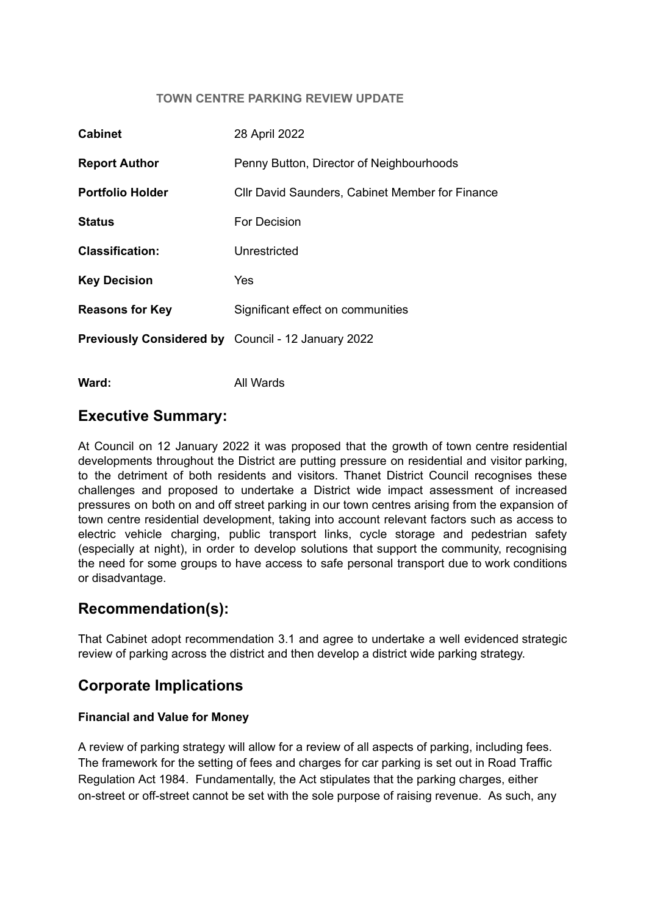#### **TOWN CENTRE PARKING REVIEW UPDATE**

| <b>Cabinet</b>                                            | 28 April 2022                                          |
|-----------------------------------------------------------|--------------------------------------------------------|
| <b>Report Author</b>                                      | Penny Button, Director of Neighbourhoods               |
| <b>Portfolio Holder</b>                                   | <b>CIIr David Saunders, Cabinet Member for Finance</b> |
| <b>Status</b>                                             | For Decision                                           |
| <b>Classification:</b>                                    | Unrestricted                                           |
| <b>Key Decision</b>                                       | Yes                                                    |
| <b>Reasons for Key</b>                                    | Significant effect on communities                      |
| <b>Previously Considered by</b> Council - 12 January 2022 |                                                        |
|                                                           |                                                        |

**Ward:** All Wards

### **Executive Summary:**

At Council on 12 January 2022 it was proposed that the growth of town centre residential developments throughout the District are putting pressure on residential and visitor parking, to the detriment of both residents and visitors. Thanet District Council recognises these challenges and proposed to undertake a District wide impact assessment of increased pressures on both on and off street parking in our town centres arising from the expansion of town centre residential development, taking into account relevant factors such as access to electric vehicle charging, public transport links, cycle storage and pedestrian safety (especially at night), in order to develop solutions that support the community, recognising the need for some groups to have access to safe personal transport due to work conditions or disadvantage.

## **Recommendation(s):**

That Cabinet adopt recommendation 3.1 and agree to undertake a well evidenced strategic review of parking across the district and then develop a district wide parking strategy.

## **Corporate Implications**

### **Financial and Value for Money**

A review of parking strategy will allow for a review of all aspects of parking, including fees. The framework for the setting of fees and charges for car parking is set out in Road Traffic Regulation Act 1984. Fundamentally, the Act stipulates that the parking charges, either on-street or off-street cannot be set with the sole purpose of raising revenue. As such, any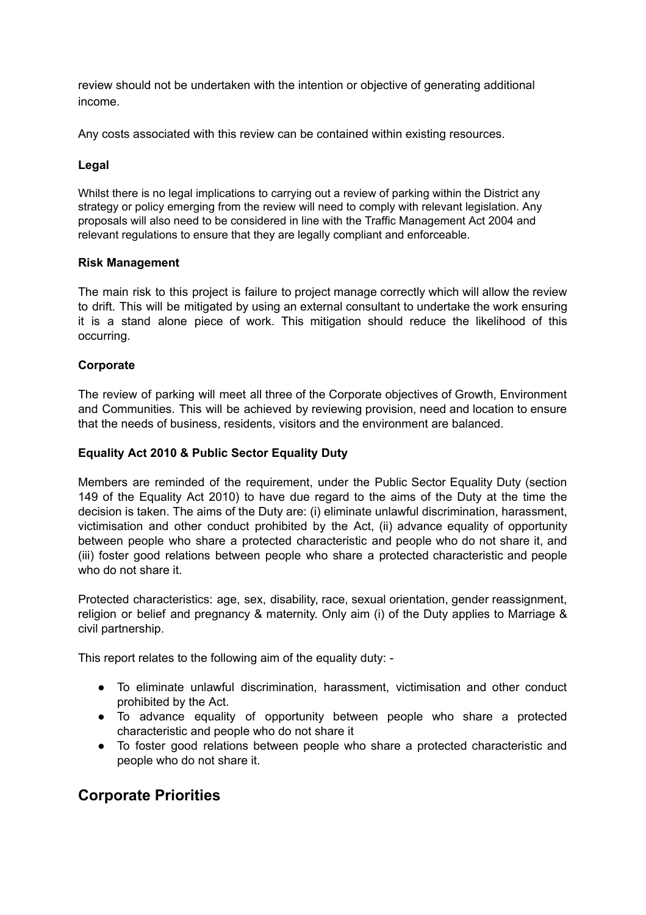review should not be undertaken with the intention or objective of generating additional income.

Any costs associated with this review can be contained within existing resources.

### **Legal**

Whilst there is no legal implications to carrying out a review of parking within the District any strategy or policy emerging from the review will need to comply with relevant legislation. Any proposals will also need to be considered in line with the Traffic Management Act 2004 and relevant regulations to ensure that they are legally compliant and enforceable.

### **Risk Management**

The main risk to this project is failure to project manage correctly which will allow the review to drift. This will be mitigated by using an external consultant to undertake the work ensuring it is a stand alone piece of work. This mitigation should reduce the likelihood of this occurring.

### **Corporate**

The review of parking will meet all three of the Corporate objectives of Growth, Environment and Communities. This will be achieved by reviewing provision, need and location to ensure that the needs of business, residents, visitors and the environment are balanced.

#### **Equality Act 2010 & Public Sector Equality Duty**

Members are reminded of the requirement, under the Public Sector Equality Duty (section 149 of the Equality Act 2010) to have due regard to the aims of the Duty at the time the decision is taken. The aims of the Duty are: (i) eliminate unlawful discrimination, harassment, victimisation and other conduct prohibited by the Act, (ii) advance equality of opportunity between people who share a protected characteristic and people who do not share it, and (iii) foster good relations between people who share a protected characteristic and people who do not share it.

Protected characteristics: age, sex, disability, race, sexual orientation, gender reassignment, religion or belief and pregnancy & maternity. Only aim (i) of the Duty applies to Marriage & civil partnership.

This report relates to the following aim of the equality duty: -

- To eliminate unlawful discrimination, harassment, victimisation and other conduct prohibited by the Act.
- To advance equality of opportunity between people who share a protected characteristic and people who do not share it
- To foster good relations between people who share a protected characteristic and people who do not share it.

# **Corporate Priorities**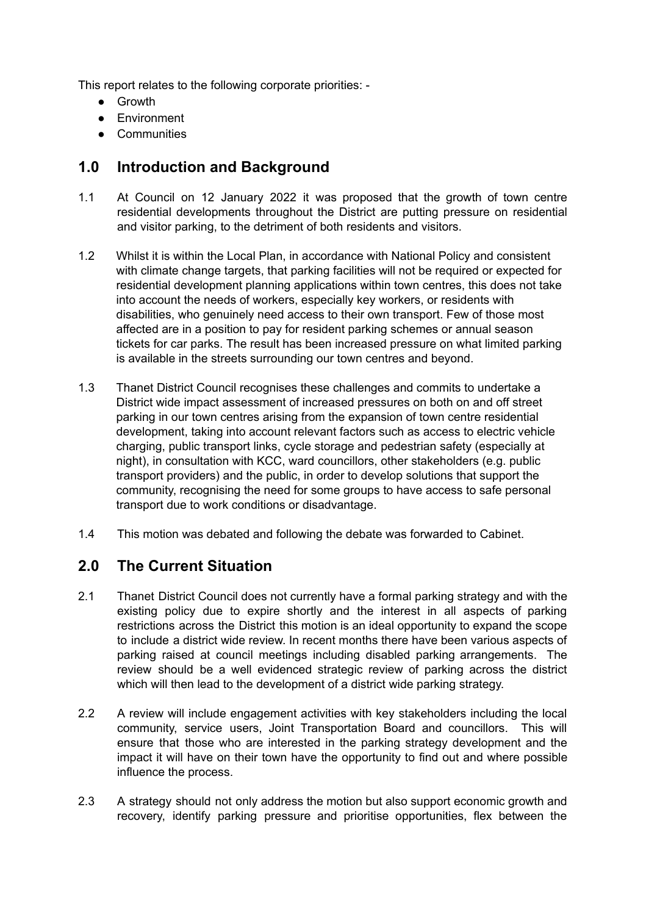This report relates to the following corporate priorities: -

- Growth
- Environment
- Communities

# **1.0 Introduction and Background**

- 1.1 At Council on 12 January 2022 it was proposed that the growth of town centre residential developments throughout the District are putting pressure on residential and visitor parking, to the detriment of both residents and visitors.
- 1.2 Whilst it is within the Local Plan, in accordance with National Policy and consistent with climate change targets, that parking facilities will not be required or expected for residential development planning applications within town centres, this does not take into account the needs of workers, especially key workers, or residents with disabilities, who genuinely need access to their own transport. Few of those most affected are in a position to pay for resident parking schemes or annual season tickets for car parks. The result has been increased pressure on what limited parking is available in the streets surrounding our town centres and beyond.
- 1.3 Thanet District Council recognises these challenges and commits to undertake a District wide impact assessment of increased pressures on both on and off street parking in our town centres arising from the expansion of town centre residential development, taking into account relevant factors such as access to electric vehicle charging, public transport links, cycle storage and pedestrian safety (especially at night), in consultation with KCC, ward councillors, other stakeholders (e.g. public transport providers) and the public, in order to develop solutions that support the community, recognising the need for some groups to have access to safe personal transport due to work conditions or disadvantage.
- 1.4 This motion was debated and following the debate was forwarded to Cabinet.

## **2.0 The Current Situation**

- 2.1 Thanet District Council does not currently have a formal parking strategy and with the existing policy due to expire shortly and the interest in all aspects of parking restrictions across the District this motion is an ideal opportunity to expand the scope to include a district wide review. In recent months there have been various aspects of parking raised at council meetings including disabled parking arrangements. The review should be a well evidenced strategic review of parking across the district which will then lead to the development of a district wide parking strategy.
- 2.2 A review will include engagement activities with key stakeholders including the local community, service users, Joint Transportation Board and councillors. This will ensure that those who are interested in the parking strategy development and the impact it will have on their town have the opportunity to find out and where possible influence the process.
- 2.3 A strategy should not only address the motion but also support economic growth and recovery, identify parking pressure and prioritise opportunities, flex between the